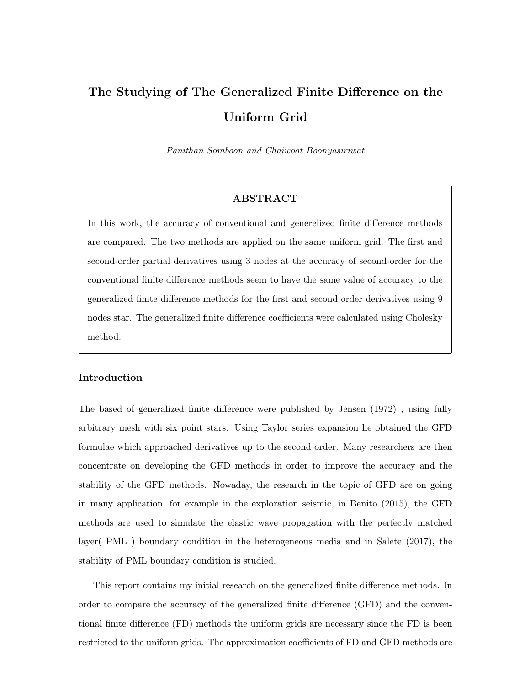# The Studying of The Generalized Finite Difference on the Uniform Grid

Panithan Somboon and Chaiwoot Boonyasiriwat

### ABSTRACT

In this work, the accuracy of conventional and generelized finite difference methods are compared. The two methods are applied on the same uniform grid. The first and second-order partial derivatives using 3 nodes at the accuracy of second-order for the conventional finite difference methods seem to have the same value of accuracy to the generalized finite difference methods for the first and second-order derivatives using 9 nodes star. The generalized finite difference coefficients were calculated using Cholesky method.

# Introduction

The based of generalized finite difference were published by Jensen (1972) , using fully arbitrary mesh with six point stars. Using Taylor series expansion he obtained the GFD formulae which approached derivatives up to the second-order. Many researchers are then concentrate on developing the GFD methods in order to improve the accuracy and the stability of the GFD methods. Nowaday, the research in the topic of GFD are on going in many application, for example in the exploration seismic, in Benito (2015), the GFD methods are used to simulate the elastic wave propagation with the perfectly matched layer( PML ) boundary condition in the heterogeneous media and in Salete (2017), the stability of PML boundary condition is studied.

This report contains my initial research on the generalized finite difference methods. In order to compare the accuracy of the generalized finite difference (GFD) and the conventional finite difference (FD) methods the uniform grids are necessary since the FD is been restricted to the uniform grids. The approximation coefficients of FD and GFD methods are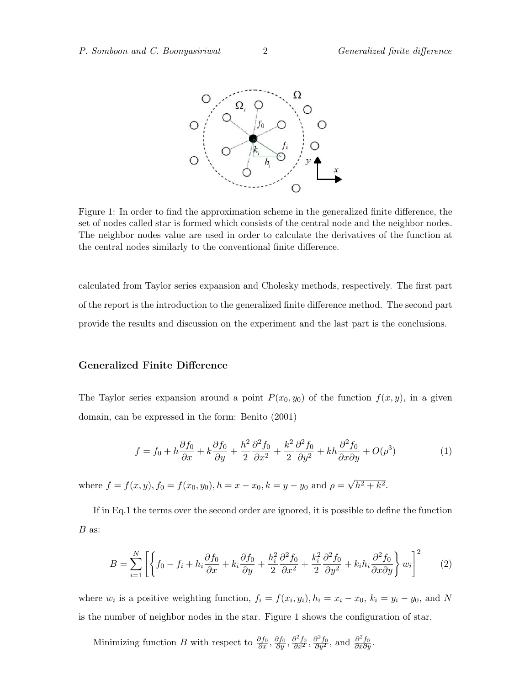

Figure 1: In order to find the approximation scheme in the generalized finite difference, the set of nodes called star is formed which consists of the central node and the neighbor nodes. The neighbor nodes value are used in order to calculate the derivatives of the function at the central nodes similarly to the conventional finite difference.

calculated from Taylor series expansion and Cholesky methods, respectively. The first part of the report is the introduction to the generalized finite difference method. The second part provide the results and discussion on the experiment and the last part is the conclusions.

# Generalized Finite Difference

The Taylor series expansion around a point  $P(x_0, y_0)$  of the function  $f(x, y)$ , in a given domain, can be expressed in the form: Benito (2001)

$$
f = f_0 + h\frac{\partial f_0}{\partial x} + k\frac{\partial f_0}{\partial y} + \frac{h^2}{2}\frac{\partial^2 f_0}{\partial x^2} + \frac{k^2}{2}\frac{\partial^2 f_0}{\partial y^2} + kh\frac{\partial^2 f_0}{\partial x \partial y} + O(\rho^3)
$$
(1)

where  $f = f(x, y), f_0 = f(x_0, y_0), h = x - x_0, k = y - y_0$  and  $\rho =$ √  $\overline{h^2+k^2}$ .

If in Eq.1 the terms over the second order are ignored, it is possible to define the function B as:

$$
B = \sum_{i=1}^{N} \left[ \left\{ f_0 - f_i + h_i \frac{\partial f_0}{\partial x} + k_i \frac{\partial f_0}{\partial y} + \frac{h_i^2}{2} \frac{\partial^2 f_0}{\partial x^2} + \frac{k_i^2}{2} \frac{\partial^2 f_0}{\partial y^2} + k_i h_i \frac{\partial^2 f_0}{\partial x \partial y} \right\} w_i \right]^2 \tag{2}
$$

where  $w_i$  is a positive weighting function,  $f_i = f(x_i, y_i)$ ,  $h_i = x_i - x_0$ ,  $k_i = y_i - y_0$ , and N is the number of neighbor nodes in the star. Figure 1 shows the configuration of star.

Minimizing function B with respect to  $\frac{\partial f_0}{\partial x}, \frac{\partial f_0}{\partial y}, \frac{\partial^2 f_0}{\partial x^2}, \frac{\partial^2 f_0}{\partial y^2}$ , and  $\frac{\partial^2 f_0}{\partial x \partial y}$ .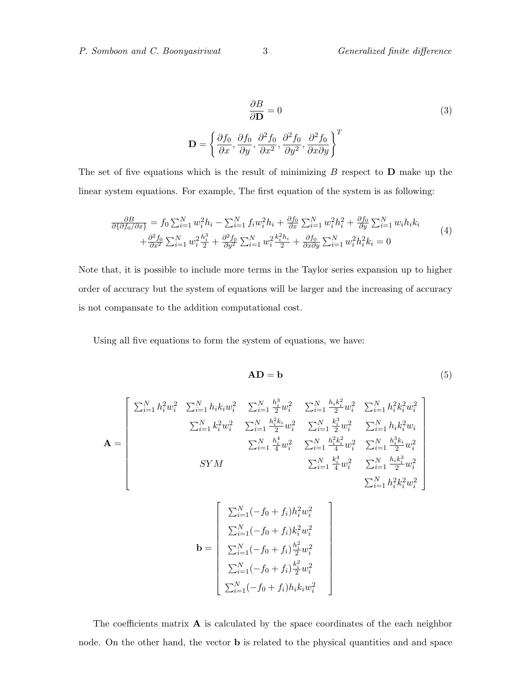$$
\frac{\partial B}{\partial \mathbf{D}} = 0
$$
\n
$$
\mathbf{D} = \left\{ \frac{\partial f_0}{\partial x}, \frac{\partial f_0}{\partial y}, \frac{\partial^2 f_0}{\partial x^2}, \frac{\partial^2 f_0}{\partial y^2}, \frac{\partial^2 f_0}{\partial x \partial y} \right\}^T
$$
\n(3)

The set of five equations which is the result of minimizing  $B$  respect to  $D$  make up the linear system equations. For example, The first equation of the system is as following:

$$
\frac{\partial B}{\partial \{\partial f_0 / \partial x\}} = f_0 \sum_{i=1}^N w_i^2 h_i - \sum_{i=1}^N f_i w_i^2 h_i + \frac{\partial f_0}{\partial x} \sum_{i=1}^N w_i^2 h_i^2 + \frac{\partial f_0}{\partial y} \sum_{i=1}^N w_i h_i k_i + \frac{\partial^2 f_0}{\partial x^2} \sum_{i=1}^N w_i^2 \frac{h_i^3}{2} + \frac{\partial^2 f_0}{\partial y^2} \sum_{i=1}^N w_i^2 \frac{h_i^2 h_i}{2} + \frac{\partial f_0}{\partial x \partial y} \sum_{i=1}^N w_i^2 h_i^2 k_i = 0
$$
\n(4)

Note that, it is possible to include more terms in the Taylor series expansion up to higher order of accuracy but the system of equations will be larger and the increasing of accuracy is not compansate to the addition computational cost.

Using all five equations to form the system of equations, we have:

$$
AD = b \tag{5}
$$

$$
\mathbf{A} = \begin{bmatrix} \sum_{i=1}^{N} h_i^2 w_i^2 & \sum_{i=1}^{N} h_i k_i w_i^2 & \sum_{i=1}^{N} \frac{h_i^3}{2} w_i^2 & \sum_{i=1}^{N} \frac{h_i k_i^2}{2} w_i^2 & \sum_{i=1}^{N} h_i^2 k_i^2 w_i^2 \\ & \sum_{i=1}^{N} k_i^2 w_i^2 & \sum_{i=1}^{N} \frac{h_i^2 k_i}{2} w_i^2 & \sum_{i=1}^{N} \frac{k_i^3}{2} w_i^2 & \sum_{i=1}^{N} h_i k_i^2 w_i \\ & & \sum_{i=1}^{N} \frac{h_i^4}{4} w_i^2 & \sum_{i=1}^{N} \frac{h_i^2 k_i^2}{4} w_i^2 & \sum_{i=1}^{N} \frac{h_i^3 k_i}{2} w_i^2 \\ & & & \sum_{i=1}^{N} \frac{k_i^4}{4} w_i^2 & \sum_{i=1}^{N} \frac{h_i k_i^3}{2} w_i^2 \\ & & & & \sum_{i=1}^{N} h_i^2 k_i^2 w_i^2 \end{bmatrix}
$$

$$
\mathbf{b} = \begin{bmatrix} \sum_{i=1}^{N} (-f_0 + f_i) h_i^2 w_i^2 \\ \sum_{i=1}^{N} (-f_0 + f_i) k_i^2 w_i^2 \\ \sum_{i=1}^{N} (-f_0 + f_i) \frac{h_i^2}{2} w_i^2 \\ \sum_{i=1}^{N} (-f_0 + f_i) \frac{k_i^2}{2} w_i^2 \\ \sum_{i=1}^{N} (-f_0 + f_i) h_i k_i w_i^2 \end{bmatrix}
$$

The coefficients matrix  $\bf{A}$  is calculated by the space coordinates of the each neighbor node. On the other hand, the vector b is related to the physical quantities and and space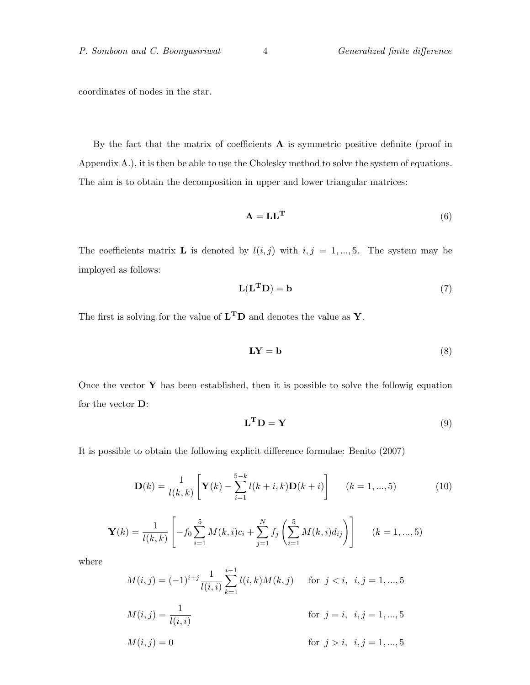coordinates of nodes in the star.

By the fact that the matrix of coefficients  $A$  is symmetric positive definite (proof in Appendix A.), it is then be able to use the Cholesky method to solve the system of equations. The aim is to obtain the decomposition in upper and lower triangular matrices:

$$
\mathbf{A} = \mathbf{L}\mathbf{L}^{\mathbf{T}} \tag{6}
$$

The coefficients matrix **L** is denoted by  $l(i, j)$  with  $i, j = 1, ..., 5$ . The system may be imployed as follows:

$$
L(LTD) = b
$$
 (7)

The first is solving for the value of  $L<sup>T</sup>D$  and denotes the value as Y.

$$
LY = b \tag{8}
$$

Once the vector  $\bf{Y}$  has been established, then it is possible to solve the followig equation for the vector D:

$$
\mathbf{L}^{\mathbf{T}}\mathbf{D} = \mathbf{Y} \tag{9}
$$

It is possible to obtain the following explicit difference formulae: Benito (2007)

$$
\mathbf{D}(k) = \frac{1}{l(k,k)} \left[ \mathbf{Y}(k) - \sum_{i=1}^{5-k} l(k+i,k) \mathbf{D}(k+i) \right] \qquad (k = 1, ..., 5)
$$
 (10)

$$
\mathbf{Y}(k) = \frac{1}{l(k,k)} \left[ -f_0 \sum_{i=1}^{5} M(k,i)c_i + \sum_{j=1}^{N} f_j \left( \sum_{i=1}^{5} M(k,i)d_{ij} \right) \right] \qquad (k = 1, ..., 5)
$$

where

$$
M(i,j) = (-1)^{i+j} \frac{1}{l(i,i)} \sum_{k=1}^{i-1} l(i,k)M(k,j) \quad \text{for } j < i, \ i, j = 1, ..., 5
$$

$$
M(i,j) = \frac{1}{l(i,i)} \quad \text{for } j = i, \ i, j = 1, ..., 5
$$

$$
M(i,j) = 0 \quad \text{for } j > i, \ i, j = 1, ..., 5
$$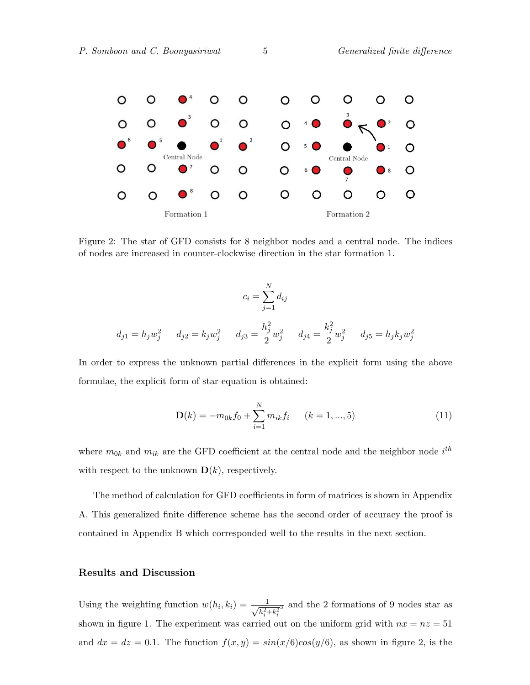

Figure 2: The star of GFD consists for 8 neighbor nodes and a central node. The indices of nodes are increased in counter-clockwise direction in the star formation 1.

$$
c_i = \sum_{j=1}^{N} d_{ij}
$$
  

$$
d_{j1} = h_j w_j^2 \t d_{j2} = k_j w_j^2 \t d_{j3} = \frac{h_j^2}{2} w_j^2 \t d_{j4} = \frac{k_j^2}{2} w_j^2 \t d_{j5} = h_j k_j w_j^2
$$

In order to express the unknown partial differences in the explicit form using the above formulae, the explicit form of star equation is obtained:

$$
\mathbf{D}(k) = -m_{0k}f_0 + \sum_{i=1}^{N} m_{ik}f_i \qquad (k = 1, ..., 5)
$$
 (11)

where  $m_{0k}$  and  $m_{ik}$  are the GFD coefficient at the central node and the neighbor node  $i^{th}$ with respect to the unknown  $\mathbf{D}(k)$ , respectively.

The method of calculation for GFD coefficients in form of matrices is shown in Appendix A. This generalized finite difference scheme has the second order of accuracy the proof is contained in Appendix B which corresponded well to the results in the next section.

#### Results and Discussion

Using the weighting function  $w(h_i, k_i) = \frac{1}{\sqrt{2}}$  $h_i^2 + k_i^2$  $\frac{3}{3}$  and the 2 formations of 9 nodes star as shown in figure 1. The experiment was carried out on the uniform grid with  $nx = nz = 51$ and  $dx = dz = 0.1$ . The function  $f(x, y) = sin(x/6)cos(y/6)$ , as shown in figure 2, is the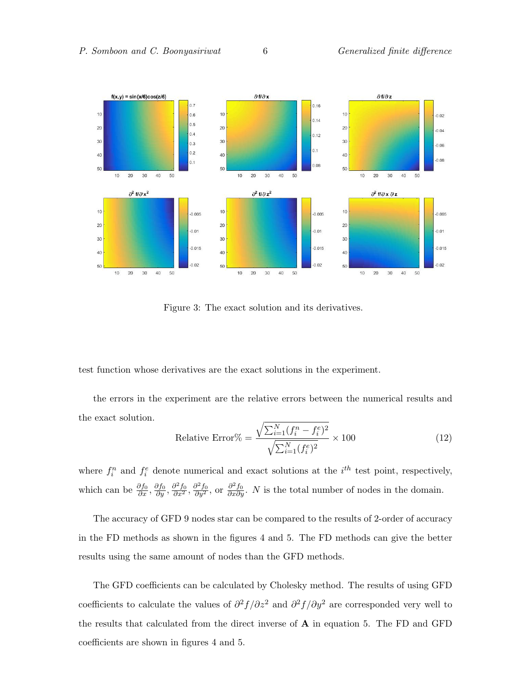

Figure 3: The exact solution and its derivatives.

test function whose derivatives are the exact solutions in the experiment.

the errors in the experiment are the relative errors between the numerical results and the exact solution.

Relative Error% = 
$$
\frac{\sqrt{\sum_{i=1}^{N} (f_i^n - f_i^e)^2}}{\sqrt{\sum_{i=1}^{N} (f_i^e)^2}} \times 100
$$
 (12)

where  $f_i^n$  and  $f_i^e$  denote numerical and exact solutions at the  $i^{th}$  test point, respectively, which can be  $\frac{\partial f_0}{\partial x}, \frac{\partial f_0}{\partial y}, \frac{\partial^2 f_0}{\partial x^2}, \frac{\partial^2 f_0}{\partial y^2}$ , or  $\frac{\partial^2 f_0}{\partial x \partial y}$ . *N* is the total number of nodes in the domain.

The accuracy of GFD 9 nodes star can be compared to the results of 2-order of accuracy in the FD methods as shown in the figures 4 and 5. The FD methods can give the better results using the same amount of nodes than the GFD methods.

The GFD coefficients can be calculated by Cholesky method. The results of using GFD coefficients to calculate the values of  $\partial^2 f/\partial z^2$  and  $\partial^2 f/\partial y^2$  are corresponded very well to the results that calculated from the direct inverse of A in equation 5. The FD and GFD coefficients are shown in figures 4 and 5.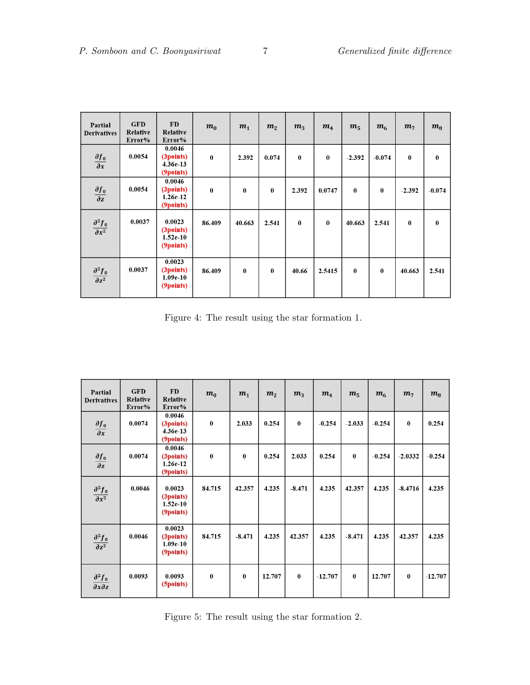| Partial<br><b>Derivatives</b>         | <b>GFD</b><br>Relative<br>Error% | <b>FD</b><br>Relative<br>Error%                | m <sub>0</sub> | m <sub>1</sub> | m <sub>2</sub> | m <sub>3</sub> | m <sub>4</sub> | m <sub>5</sub> | m <sub>6</sub> | m <sub>7</sub> | $m_{\rm B}$ |
|---------------------------------------|----------------------------------|------------------------------------------------|----------------|----------------|----------------|----------------|----------------|----------------|----------------|----------------|-------------|
| $\frac{\partial f_0}{\partial x}$     | 0.0054                           | 0.0046<br>(3points)<br>$4.36e-13$<br>(9points) | $\bf{0}$       | 2.392          | 0.074          | $\bf{0}$       | $\bf{0}$       | $-2.392$       | $-0.074$       | $\bf{0}$       | $\bf{0}$    |
| $\frac{\partial f_0}{\partial z}$     | 0.0054                           | 0.0046<br>(3points)<br>$1.26e-12$<br>(9points) | $\bf{0}$       | $\bf{0}$       | $\bf{0}$       | 2.392          | 0.0747         | $\bf{0}$       | $\bf{0}$       | $-2.392$       | $-0.074$    |
| $\frac{\partial^2 f_0}{\partial x^2}$ | 0.0037                           | 0.0023<br>(3points)<br>$1.52e-10$<br>(9points) | 86.409         | 40.663         | 2.541          | $\bf{0}$       | $\bf{0}$       | 40.663         | 2.541          | $\bf{0}$       | $\bf{0}$    |
| $\frac{\partial^2 f_0}{\partial z^2}$ | 0.0037                           | 0.0023<br>(3points)<br>$1.09e-10$<br>(9points) | 86.409         | $\bf{0}$       | $\bf{0}$       | 40.66          | 2.5415         | $\bf{0}$       | $\bf{0}$       | 40.663         | 2.541       |

Figure 4: The result using the star formation 1.

| Partial<br><b>Derivatives</b>                 | <b>GFD</b><br><b>Relative</b><br>Error% | <b>FD</b><br><b>Relative</b><br>Error%         | m <sub>0</sub> | m <sub>1</sub> | m <sub>2</sub> | m <sub>3</sub> | m <sub>4</sub> | m <sub>5</sub> | m <sub>6</sub> | m <sub>7</sub> | $m_8$     |
|-----------------------------------------------|-----------------------------------------|------------------------------------------------|----------------|----------------|----------------|----------------|----------------|----------------|----------------|----------------|-----------|
| $\frac{\partial f_0}{\partial x}$             | 0.0074                                  | 0.0046<br>(3points)<br>4.36e-13<br>(9points)   | $\bf{0}$       | 2.033          | 0.254          | $\bf{0}$       | $-0.254$       | $-2.033$       | $-0.254$       | $\bf{0}$       | 0.254     |
| $\frac{\partial f_0}{\partial z}$             | 0.0074                                  | 0.0046<br>(3points)<br>$1.26e-12$<br>(9points) | $\bf{0}$       | $\bf{0}$       | 0.254          | 2.033          | 0.254          | $\bf{0}$       | $-0.254$       | $-2.0332$      | $-0.254$  |
| $\partial^2 f_0$<br>$\overline{\partial x^2}$ | 0.0046                                  | 0.0023<br>(3points)<br>$1.52e-10$<br>(9points) | 84.715         | 42.357         | 4.235          | $-8.471$       | 4.235          | 42.357         | 4.235          | $-8.4716$      | 4.235     |
| $\partial^2 f_0$<br>$\overline{\partial z^2}$ | 0.0046                                  | 0.0023<br>(3points)<br>$1.09e-10$<br>(9points) | 84.715         | $-8.471$       | 4.235          | 42.357         | 4.235          | $-8.471$       | 4.235          | 42.357         | 4.235     |
| $\partial^2 f_0$<br>$\partial x \partial z$   | 0.0093                                  | 0.0093<br>(5points)                            | $\bf{0}$       | $\bf{0}$       | 12.707         | $\bf{0}$       | $-12.707$      | $\bf{0}$       | 12.707         | $\bf{0}$       | $-12.707$ |

Figure 5: The result using the star formation 2.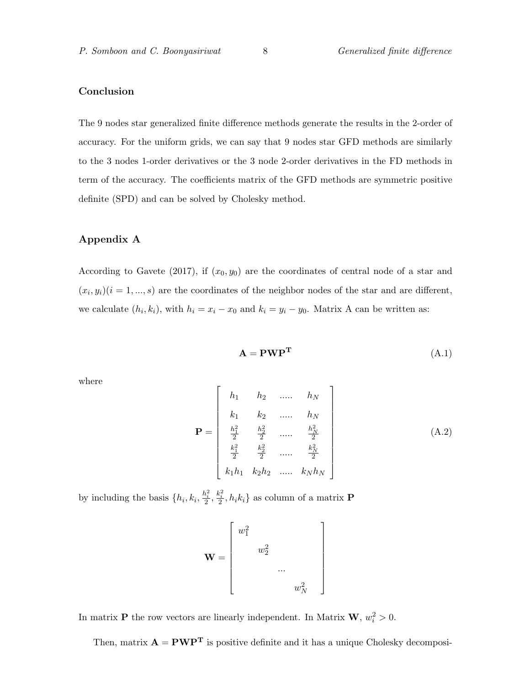# Conclusion

The 9 nodes star generalized finite difference methods generate the results in the 2-order of accuracy. For the uniform grids, we can say that 9 nodes star GFD methods are similarly to the 3 nodes 1-order derivatives or the 3 node 2-order derivatives in the FD methods in term of the accuracy. The coefficients matrix of the GFD methods are symmetric positive definite (SPD) and can be solved by Cholesky method.

#### Appendix A

According to Gavete (2017), if  $(x_0, y_0)$  are the coordinates of central node of a star and  $(x_i, y_i)(i = 1, ..., s)$  are the coordinates of the neighbor nodes of the star and are different, we calculate  $(h_i, k_i)$ , with  $h_i = x_i - x_0$  and  $k_i = y_i - y_0$ . Matrix A can be written as:

$$
\mathbf{A} = \mathbf{P}\mathbf{W}\mathbf{P}^{\mathbf{T}} \tag{A.1}
$$

where

$$
\mathbf{P} = \begin{bmatrix} h_1 & h_2 & \dots & h_N \\ k_1 & k_2 & \dots & h_N \\ \frac{h_1^2}{2} & \frac{h_2^2}{2} & \dots & \frac{h_N^2}{2} \\ \frac{k_1^2}{2} & \frac{k_2^2}{2} & \dots & \frac{k_N^2}{2} \\ k_1h_1 & k_2h_2 & \dots & k_Nh_N \end{bmatrix}
$$
 (A.2)

1  $\overline{1}$  $\overline{1}$  $\overline{1}$  $\perp$  $\overline{1}$  $\overline{1}$  $\overline{1}$  $\overline{1}$  $\overline{1}$ 

by including the basis  $\{h_i, k_i, \frac{h_i^2}{2}, \frac{k_i^2}{2}, h_i k_i\}$  as column of a matrix **P** 

$$
\mathbf{W} = \begin{bmatrix} w_1^2 & & & \\ & w_2^2 & & \\ & & \dots & \\ & & & w_N^2 \end{bmatrix}
$$

In matrix **P** the row vectors are linearly independent. In Matrix **W**,  $w_i^2 > 0$ .

Then, matrix  $\mathbf{A} = \mathbf{PWP}^{\mathbf{T}}$  is positive definite and it has a unique Cholesky decomposi-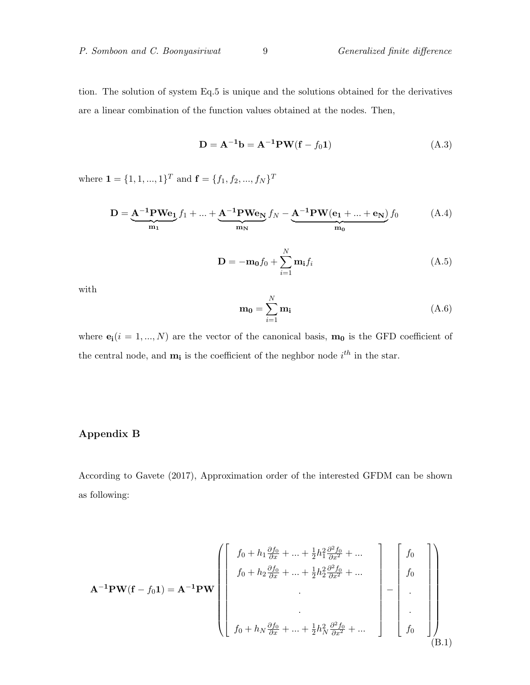tion. The solution of system Eq.5 is unique and the solutions obtained for the derivatives are a linear combination of the function values obtained at the nodes. Then,

$$
D = A^{-1}b = A^{-1}PW(f - f_01)
$$
 (A.3)

where  $\mathbf{1} = \{1, 1, ..., 1\}^T$  and  $\mathbf{f} = \{f_1, f_2, ..., f_N\}^T$ 

$$
\mathbf{D} = \underbrace{\mathbf{A}^{-1} \mathbf{P} \mathbf{W} \mathbf{e}_1}_{m_1} f_1 + \dots + \underbrace{\mathbf{A}^{-1} \mathbf{P} \mathbf{W} \mathbf{e}_N}_{m_N} f_N - \underbrace{\mathbf{A}^{-1} \mathbf{P} \mathbf{W} (\mathbf{e}_1 + \dots + \mathbf{e}_N)}_{m_0} f_0} \tag{A.4}
$$

$$
\mathbf{D} = -\mathbf{m_0}f_0 + \sum_{i=1}^{N} \mathbf{m_i}f_i
$$
 (A.5)

with

$$
\mathbf{m_0} = \sum_{i=1}^{N} \mathbf{m_i} \tag{A.6}
$$

where  $\mathbf{e}_i(i = 1, ..., N)$  are the vector of the canonical basis,  $\mathbf{m}_0$  is the GFD coefficient of the central node, and  $\mathbf{m}_i$  is the coefficient of the neghbor node  $i^{th}$  in the star.

# Appendix B

According to Gavete (2017), Approximation order of the interested GFDM can be shown as following:

$$
\mathbf{A}^{-1} \mathbf{PW}(\mathbf{f} - f_0 \mathbf{1}) = \mathbf{A}^{-1} \mathbf{PW} \left( \begin{bmatrix} f_0 + h_1 \frac{\partial f_0}{\partial x} + \dots + \frac{1}{2} h_1^2 \frac{\partial^2 f_0}{\partial x^2} + \dots \\ f_0 + h_2 \frac{\partial f_0}{\partial x} + \dots + \frac{1}{2} h_2^2 \frac{\partial^2 f_0}{\partial x^2} + \dots \\ \vdots \\ f_0 + h_N \frac{\partial f_0}{\partial x} + \dots + \frac{1}{2} h_N^2 \frac{\partial^2 f_0}{\partial x^2} + \dots \end{bmatrix} - \begin{bmatrix} f_0 \\ f_0 \\ \vdots \\ f_0 \end{bmatrix} \right) \right) (B.1)
$$